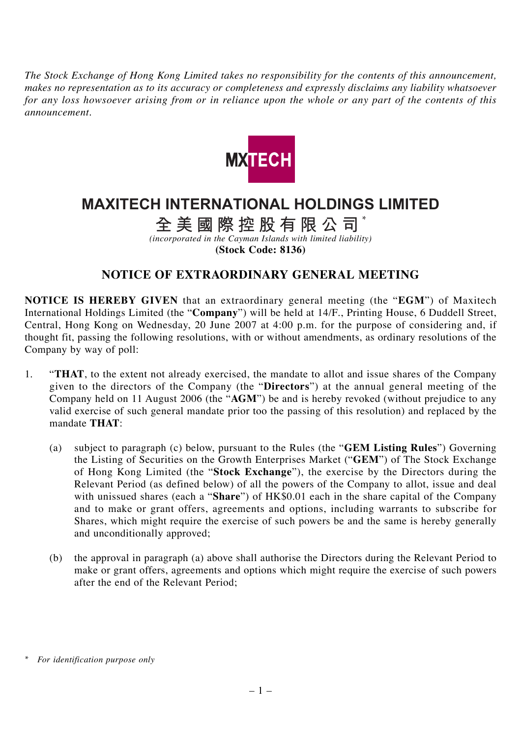*The Stock Exchange of Hong Kong Limited takes no responsibility for the contents of this announcement, makes no representation as to its accuracy or completeness and expressly disclaims any liability whatsoever for any loss howsoever arising from or in reliance upon the whole or any part of the contents of this announcement.*



## **MAXITECH INTERNATIONAL HOLDINGS LIMITED**

## **全美國際控股有限公司** \*

*(incorporated in the Cayman Islands with limited liability)*

**(Stock Code: 8136)**

## **NOTICE OF EXTRAORDINARY GENERAL MEETING**

**NOTICE IS HEREBY GIVEN** that an extraordinary general meeting (the "**EGM**") of Maxitech International Holdings Limited (the "**Company**") will be held at 14/F., Printing House, 6 Duddell Street, Central, Hong Kong on Wednesday, 20 June 2007 at 4:00 p.m. for the purpose of considering and, if thought fit, passing the following resolutions, with or without amendments, as ordinary resolutions of the Company by way of poll:

- 1. "**THAT**, to the extent not already exercised, the mandate to allot and issue shares of the Company given to the directors of the Company (the "**Directors**") at the annual general meeting of the Company held on 11 August 2006 (the "**AGM**") be and is hereby revoked (without prejudice to any valid exercise of such general mandate prior too the passing of this resolution) and replaced by the mandate **THAT**:
	- (a) subject to paragraph (c) below, pursuant to the Rules (the "**GEM Listing Rules**") Governing the Listing of Securities on the Growth Enterprises Market ("**GEM**") of The Stock Exchange of Hong Kong Limited (the "**Stock Exchange**"), the exercise by the Directors during the Relevant Period (as defined below) of all the powers of the Company to allot, issue and deal with unissued shares (each a "**Share**") of HK\$0.01 each in the share capital of the Company and to make or grant offers, agreements and options, including warrants to subscribe for Shares, which might require the exercise of such powers be and the same is hereby generally and unconditionally approved;
	- (b) the approval in paragraph (a) above shall authorise the Directors during the Relevant Period to make or grant offers, agreements and options which might require the exercise of such powers after the end of the Relevant Period;

*<sup>\*</sup> For identification purpose only*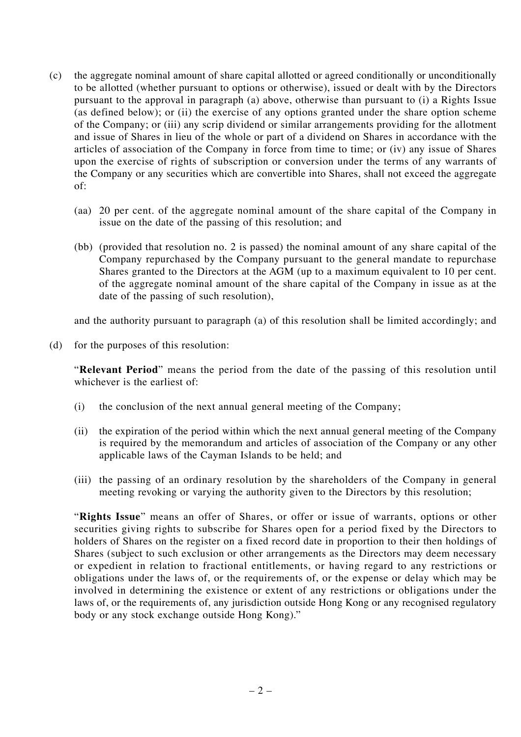- (c) the aggregate nominal amount of share capital allotted or agreed conditionally or unconditionally to be allotted (whether pursuant to options or otherwise), issued or dealt with by the Directors pursuant to the approval in paragraph (a) above, otherwise than pursuant to (i) a Rights Issue (as defined below); or (ii) the exercise of any options granted under the share option scheme of the Company; or (iii) any scrip dividend or similar arrangements providing for the allotment and issue of Shares in lieu of the whole or part of a dividend on Shares in accordance with the articles of association of the Company in force from time to time; or (iv) any issue of Shares upon the exercise of rights of subscription or conversion under the terms of any warrants of the Company or any securities which are convertible into Shares, shall not exceed the aggregate of:
	- (aa) 20 per cent. of the aggregate nominal amount of the share capital of the Company in issue on the date of the passing of this resolution; and
	- (bb) (provided that resolution no. 2 is passed) the nominal amount of any share capital of the Company repurchased by the Company pursuant to the general mandate to repurchase Shares granted to the Directors at the AGM (up to a maximum equivalent to 10 per cent. of the aggregate nominal amount of the share capital of the Company in issue as at the date of the passing of such resolution),

and the authority pursuant to paragraph (a) of this resolution shall be limited accordingly; and

(d) for the purposes of this resolution:

"**Relevant Period**" means the period from the date of the passing of this resolution until whichever is the earliest of:

- (i) the conclusion of the next annual general meeting of the Company;
- (ii) the expiration of the period within which the next annual general meeting of the Company is required by the memorandum and articles of association of the Company or any other applicable laws of the Cayman Islands to be held; and
- (iii) the passing of an ordinary resolution by the shareholders of the Company in general meeting revoking or varying the authority given to the Directors by this resolution;

"**Rights Issue**" means an offer of Shares, or offer or issue of warrants, options or other securities giving rights to subscribe for Shares open for a period fixed by the Directors to holders of Shares on the register on a fixed record date in proportion to their then holdings of Shares (subject to such exclusion or other arrangements as the Directors may deem necessary or expedient in relation to fractional entitlements, or having regard to any restrictions or obligations under the laws of, or the requirements of, or the expense or delay which may be involved in determining the existence or extent of any restrictions or obligations under the laws of, or the requirements of, any jurisdiction outside Hong Kong or any recognised regulatory body or any stock exchange outside Hong Kong)."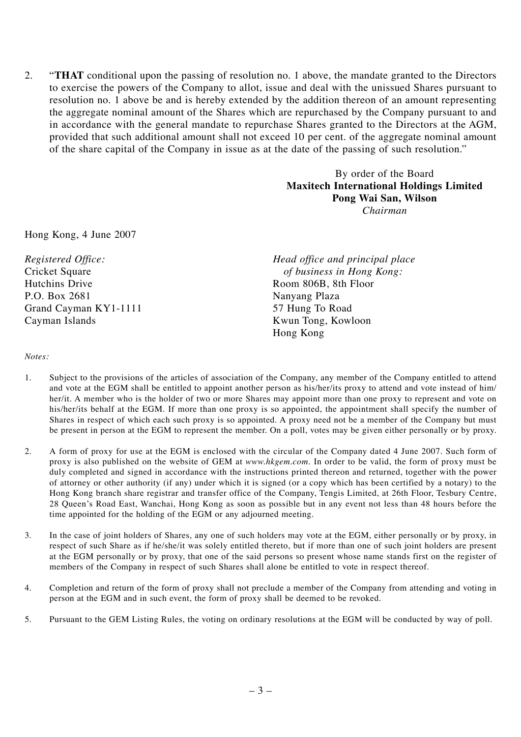2. "**THAT** conditional upon the passing of resolution no. 1 above, the mandate granted to the Directors to exercise the powers of the Company to allot, issue and deal with the unissued Shares pursuant to resolution no. 1 above be and is hereby extended by the addition thereon of an amount representing the aggregate nominal amount of the Shares which are repurchased by the Company pursuant to and in accordance with the general mandate to repurchase Shares granted to the Directors at the AGM, provided that such additional amount shall not exceed 10 per cent. of the aggregate nominal amount of the share capital of the Company in issue as at the date of the passing of such resolution."

> By order of the Board **Maxitech International Holdings Limited Pong Wai San, Wilson** *Chairman*

Hong Kong, 4 June 2007

P.O. Box 2681 Nanyang Plaza Grand Cayman KY1-1111 57 Hung To Road Cayman Islands Kwun Tong, Kowloon

*Registered Office: Head office and principal place* Cricket Square *of business in Hong Kong:*<br>
Hutchins Drive **Room 806B** 8th Floor Room 806B, 8th Floor Hong Kong

*Notes:*

- 1. Subject to the provisions of the articles of association of the Company, any member of the Company entitled to attend and vote at the EGM shall be entitled to appoint another person as his/her/its proxy to attend and vote instead of him/ her/it. A member who is the holder of two or more Shares may appoint more than one proxy to represent and vote on his/her/its behalf at the EGM. If more than one proxy is so appointed, the appointment shall specify the number of Shares in respect of which each such proxy is so appointed. A proxy need not be a member of the Company but must be present in person at the EGM to represent the member. On a poll, votes may be given either personally or by proxy.
- 2. A form of proxy for use at the EGM is enclosed with the circular of the Company dated 4 June 2007. Such form of proxy is also published on the website of GEM at *www.hkgem.com*. In order to be valid, the form of proxy must be duly completed and signed in accordance with the instructions printed thereon and returned, together with the power of attorney or other authority (if any) under which it is signed (or a copy which has been certified by a notary) to the Hong Kong branch share registrar and transfer office of the Company, Tengis Limited, at 26th Floor, Tesbury Centre, 28 Queen's Road East, Wanchai, Hong Kong as soon as possible but in any event not less than 48 hours before the time appointed for the holding of the EGM or any adjourned meeting.
- 3. In the case of joint holders of Shares, any one of such holders may vote at the EGM, either personally or by proxy, in respect of such Share as if he/she/it was solely entitled thereto, but if more than one of such joint holders are present at the EGM personally or by proxy, that one of the said persons so present whose name stands first on the register of members of the Company in respect of such Shares shall alone be entitled to vote in respect thereof.
- 4. Completion and return of the form of proxy shall not preclude a member of the Company from attending and voting in person at the EGM and in such event, the form of proxy shall be deemed to be revoked.
- 5. Pursuant to the GEM Listing Rules, the voting on ordinary resolutions at the EGM will be conducted by way of poll.